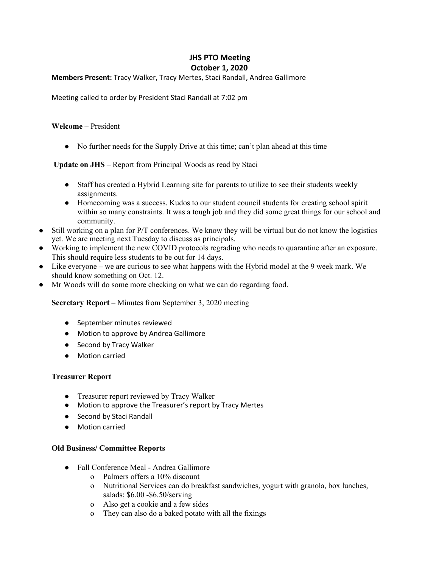# **JHS PTO Meeting October 1, 2020**

## **Members Present:** Tracy Walker, Tracy Mertes, Staci Randall, Andrea Gallimore

Meeting called to order by President Staci Randall at 7:02 pm

## **Welcome** – President

● No further needs for the Supply Drive at this time; can't plan ahead at this time

**Update on JHS** – Report from Principal Woods as read by Staci

- Staff has created a Hybrid Learning site for parents to utilize to see their students weekly assignments.
- Homecoming was a success. Kudos to our student council students for creating school spirit within so many constraints. It was a tough job and they did some great things for our school and community.
- Still working on a plan for P/T conferences. We know they will be virtual but do not know the logistics yet. We are meeting next Tuesday to discuss as principals.
- Working to implement the new COVID protocols regrading who needs to quarantine after an exposure. This should require less students to be out for 14 days.
- Like everyone we are curious to see what happens with the Hybrid model at the 9 week mark. We should know something on Oct. 12.
- Mr Woods will do some more checking on what we can do regarding food.

**Secretary Report** – Minutes from September 3, 2020 meeting

- September minutes reviewed
- Motion to approve by Andrea Gallimore
- Second by Tracy Walker
- Motion carried

#### **Treasurer Report**

- Treasurer report reviewed by Tracy Walker
- Motion to approve the Treasurer's report by Tracy Mertes
- Second by Staci Randall
- Motion carried

#### **Old Business/ Committee Reports**

- **●** Fall Conference Meal Andrea Gallimore
	- o Palmers offers a 10% discount
	- o Nutritional Services can do breakfast sandwiches, yogurt with granola, box lunches, salads; \$6.00 -\$6.50/serving
	- o Also get a cookie and a few sides
	- o They can also do a baked potato with all the fixings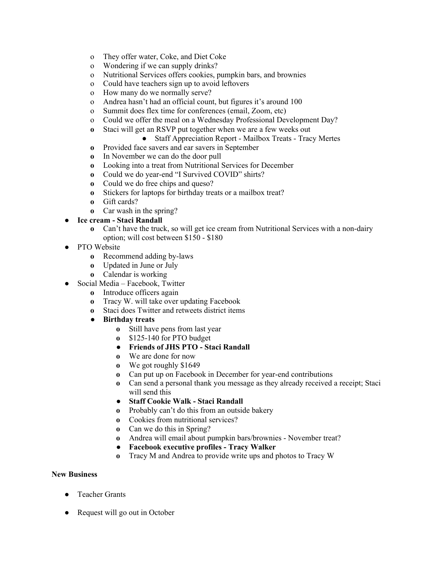- o They offer water, Coke, and Diet Coke
- o Wondering if we can supply drinks?
- o Nutritional Services offers cookies, pumpkin bars, and brownies
- o Could have teachers sign up to avoid leftovers
- o How many do we normally serve?
- o Andrea hasn't had an official count, but figures it's around 100
- o Summit does flex time for conferences (email, Zoom, etc)
- o Could we offer the meal on a Wednesday Professional Development Day?
- **o** Staci will get an RSVP put together when we are a few weeks out
	- **●** Staff Appreciation Report Mailbox Treats Tracy Mertes
- **o** Provided face savers and ear savers in September
- **o** In November we can do the door pull
- **o** Looking into a treat from Nutritional Services for December
- **o** Could we do year-end "I Survived COVID" shirts?
- **o** Could we do free chips and queso?
- **o** Stickers for laptops for birthday treats or a mailbox treat?
- **o** Gift cards?
- **o** Car wash in the spring?

# **● Ice cream - Staci Randall**

- **o** Can't have the truck, so will get ice cream from Nutritional Services with a non-dairy option; will cost between \$150 - \$180
- **●** PTO Website
	- **o** Recommend adding by-laws
	- **o** Updated in June or July
	- **o** Calendar is working
- **●** Social Media Facebook, Twitter
	- **o** Introduce officers again
	- **o** Tracy W. will take over updating Facebook
	- **o** Staci does Twitter and retweets district items
	- **● Birthday treats**
		- **o** Still have pens from last year
		- **o** \$125-140 for PTO budget
		- **● Friends of JHS PTO - Staci Randall**
		- **o** We are done for now
		- **o** We got roughly \$1649
		- **o** Can put up on Facebook in December for year-end contributions
		- **o** Can send a personal thank you message as they already received a receipt; Staci will send this
		- **● Staff Cookie Walk - Staci Randall**
		- **o** Probably can't do this from an outside bakery
		- **o** Cookies from nutritional services?
		- **o** Can we do this in Spring?
		- **o** Andrea will email about pumpkin bars/brownies November treat?
		- **● Facebook executive profiles - Tracy Walker**
		- **o** Tracy M and Andrea to provide write ups and photos to Tracy W

# **New Business**

- Teacher Grants
- Request will go out in October